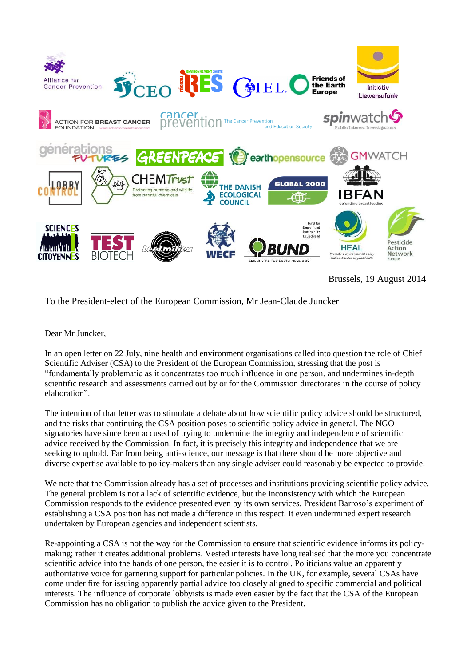

To the President-elect of the European Commission, Mr Jean-Claude Juncker

Dear Mr Juncker,

In an open letter on 22 July, nine health and environment organisations called into question the role of Chief Scientific Adviser (CSA) to the President of the European Commission, stressing that the post is "fundamentally problematic as it concentrates too much influence in one person, and undermines in-depth scientific research and assessments carried out by or for the Commission directorates in the course of policy elaboration".

The intention of that letter was to stimulate a debate about how scientific policy advice should be structured, and the risks that continuing the CSA position poses to scientific policy advice in general. The NGO signatories have since been accused of trying to undermine the integrity and independence of scientific advice received by the Commission. In fact, it is precisely this integrity and independence that we are seeking to uphold. Far from being anti-science, our message is that there should be more objective and diverse expertise available to policy-makers than any single adviser could reasonably be expected to provide.

We note that the Commission already has a set of processes and institutions providing scientific policy advice. The general problem is not a lack of scientific evidence, but the inconsistency with which the European Commission responds to the evidence presented even by its own services. President Barroso's experiment of establishing a CSA position has not made a difference in this respect. It even undermined expert research undertaken by European agencies and independent scientists.

Re-appointing a CSA is not the way for the Commission to ensure that scientific evidence informs its policymaking; rather it creates additional problems. Vested interests have long realised that the more you concentrate scientific advice into the hands of one person, the easier it is to control. Politicians value an apparently authoritative voice for garnering support for particular policies. In the UK, for example, several CSAs have come under fire for issuing apparently partial advice too closely aligned to specific commercial and political interests. The influence of corporate lobbyists is made even easier by the fact that the CSA of the European Commission has no obligation to publish the advice given to the President.